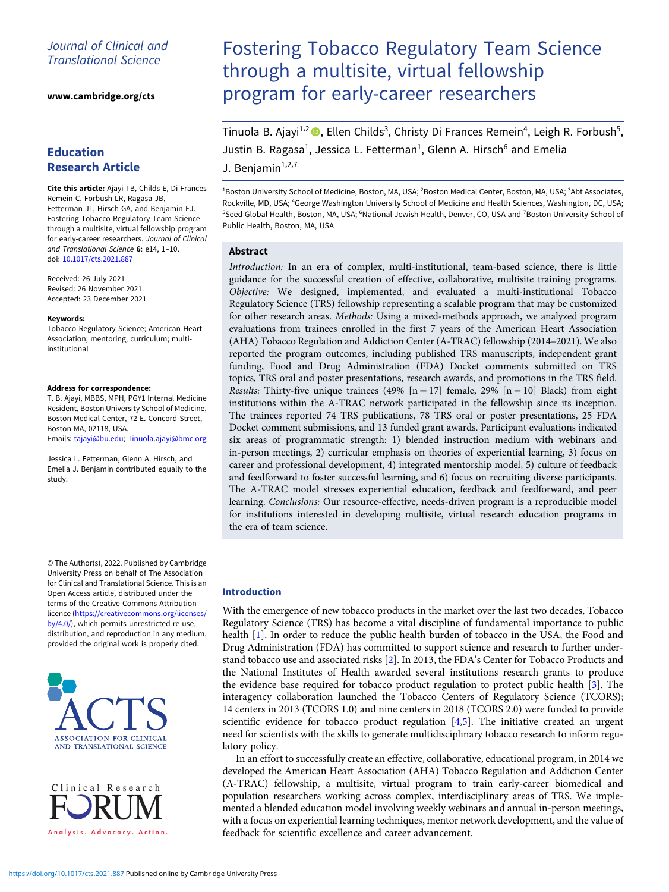## Journal of Clinical and Translational Science

[www.cambridge.org/cts](https://www.cambridge.org/cts)

# Education Research Article

Cite this article: Ajayi TB, Childs E, Di Frances Remein C, Forbush LR, Ragasa JB, Fetterman JL, Hirsch GA, and Benjamin EJ. Fostering Tobacco Regulatory Team Science through a multisite, virtual fellowship program for early-career researchers. Journal of Clinical and Translational Science 6: e14, 1–10. doi: [10.1017/cts.2021.887](https://doi.org/10.1017/cts.2021.887)

Received: 26 July 2021 Revised: 26 November 2021 Accepted: 23 December 2021

#### Keywords:

Tobacco Regulatory Science; American Heart Association; mentoring; curriculum; multiinstitutional

#### Address for correspondence:

T. B. Ajayi, MBBS, MPH, PGY1 Internal Medicine Resident, Boston University School of Medicine, Boston Medical Center, 72 E. Concord Street, Boston MA, 02118, USA. Emails: [tajayi@bu.edu;](mailto:tajayi@bu.edu) [Tinuola.ajayi@bmc.org](mailto:Tinuola.ajayi@bmc.org)

Jessica L. Fetterman, Glenn A. Hirsch, and Emelia J. Benjamin contributed equally to the study.

© The Author(s), 2022. Published by Cambridge University Press on behalf of The Association for Clinical and Translational Science. This is an Open Access article, distributed under the terms of the Creative Commons Attribution licence ([https://creativecommons.org/licenses/](https://creativecommons.org/licenses/by/4.0/) [by/4.0/](https://creativecommons.org/licenses/by/4.0/)), which permits unrestricted re-use, distribution, and reproduction in any medium, provided the original work is properly cited.





# Fostering Tobacco Regulatory Team Science through a multisite, virtual fellowship program for early-career researchers

Tinuola B. Ajayi<sup>1,2</sup> (D. Ellen Childs<sup>3</sup>, Christy Di Frances Remein<sup>4</sup>, Leigh R. Forbush<sup>5</sup>, Justin B. Ragasa<sup>1</sup>, Jessica L. Fetterman<sup>1</sup>, Glenn A. Hirsch<sup>6</sup> and Emelia J. Benjamin $1,2,7$ 

<sup>1</sup>Boston University School of Medicine, Boston, MA, USA; <sup>2</sup>Boston Medical Center, Boston, MA, USA; <sup>3</sup>Abt Associates, Rockville, MD, USA; <sup>4</sup> George Washington University School of Medicine and Health Sciences, Washington, DC, USA; <sup>5</sup>Seed Global Health, Boston, MA, USA; <sup>6</sup>National Jewish Health, Denver, CO, USA and <sup>7</sup>Boston University School of Public Health, Boston, MA, USA

## Abstract

Introduction: In an era of complex, multi-institutional, team-based science, there is little guidance for the successful creation of effective, collaborative, multisite training programs. Objective: We designed, implemented, and evaluated a multi-institutional Tobacco Regulatory Science (TRS) fellowship representing a scalable program that may be customized for other research areas. Methods: Using a mixed-methods approach, we analyzed program evaluations from trainees enrolled in the first 7 years of the American Heart Association (AHA) Tobacco Regulation and Addiction Center (A-TRAC) fellowship (2014–2021). We also reported the program outcomes, including published TRS manuscripts, independent grant funding, Food and Drug Administration (FDA) Docket comments submitted on TRS topics, TRS oral and poster presentations, research awards, and promotions in the TRS field. Results: Thirty-five unique trainees (49%  $[n = 17]$  female, 29%  $[n = 10]$  Black) from eight institutions within the A-TRAC network participated in the fellowship since its inception. The trainees reported 74 TRS publications, 78 TRS oral or poster presentations, 25 FDA Docket comment submissions, and 13 funded grant awards. Participant evaluations indicated six areas of programmatic strength: 1) blended instruction medium with webinars and in-person meetings, 2) curricular emphasis on theories of experiential learning, 3) focus on career and professional development, 4) integrated mentorship model, 5) culture of feedback and feedforward to foster successful learning, and 6) focus on recruiting diverse participants. The A-TRAC model stresses experiential education, feedback and feedforward, and peer learning. Conclusions: Our resource-effective, needs-driven program is a reproducible model for institutions interested in developing multisite, virtual research education programs in the era of team science.

## Introduction

With the emergence of new tobacco products in the market over the last two decades, Tobacco Regulatory Science (TRS) has become a vital discipline of fundamental importance to public health [[1](#page-9-0)]. In order to reduce the public health burden of tobacco in the USA, the Food and Drug Administration (FDA) has committed to support science and research to further understand tobacco use and associated risks [[2](#page-9-0)]. In 2013, the FDA's Center for Tobacco Products and the National Institutes of Health awarded several institutions research grants to produce the evidence base required for tobacco product regulation to protect public health [[3](#page-9-0)]. The interagency collaboration launched the Tobacco Centers of Regulatory Science (TCORS); 14 centers in 2013 (TCORS 1.0) and nine centers in 2018 (TCORS 2.0) were funded to provide scientific evidence for tobacco product regulation  $[4,5]$  $[4,5]$  $[4,5]$ . The initiative created an urgent need for scientists with the skills to generate multidisciplinary tobacco research to inform regulatory policy.

In an effort to successfully create an effective, collaborative, educational program, in 2014 we developed the American Heart Association (AHA) Tobacco Regulation and Addiction Center (A-TRAC) fellowship, a multisite, virtual program to train early-career biomedical and population researchers working across complex, interdisciplinary areas of TRS. We implemented a blended education model involving weekly webinars and annual in-person meetings, with a focus on experiential learning techniques, mentor network development, and the value of feedback for scientific excellence and career advancement.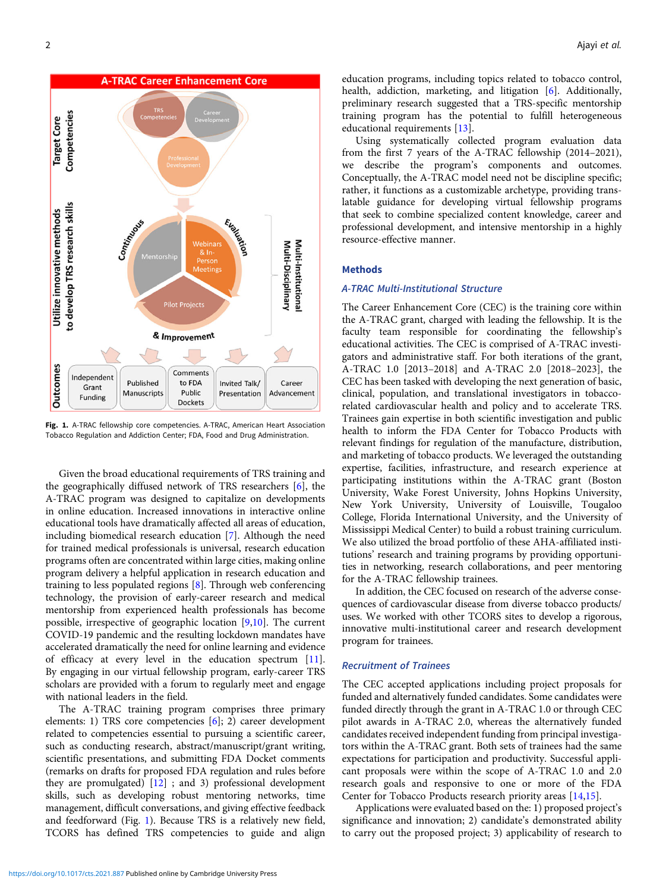

Fig. 1. A-TRAC fellowship core competencies. A-TRAC, American Heart Association Tobacco Regulation and Addiction Center; FDA, Food and Drug Administration.

Given the broad educational requirements of TRS training and the geographically diffused network of TRS researchers [[6\]](#page-9-0), the A-TRAC program was designed to capitalize on developments in online education. Increased innovations in interactive online educational tools have dramatically affected all areas of education, including biomedical research education [[7](#page-9-0)]. Although the need for trained medical professionals is universal, research education programs often are concentrated within large cities, making online program delivery a helpful application in research education and training to less populated regions [[8](#page-9-0)]. Through web conferencing technology, the provision of early-career research and medical mentorship from experienced health professionals has become possible, irrespective of geographic location [\[9,10\]](#page-9-0). The current COVID-19 pandemic and the resulting lockdown mandates have accelerated dramatically the need for online learning and evidence of efficacy at every level in the education spectrum [[11](#page-9-0)]. By engaging in our virtual fellowship program, early-career TRS scholars are provided with a forum to regularly meet and engage with national leaders in the field.

The A-TRAC training program comprises three primary elements: 1) TRS core competencies [[6](#page-9-0)]; 2) career development related to competencies essential to pursuing a scientific career, such as conducting research, abstract/manuscript/grant writing, scientific presentations, and submitting FDA Docket comments (remarks on drafts for proposed FDA regulation and rules before they are promulgated) [\[12\]](#page-9-0) ; and 3) professional development skills, such as developing robust mentoring networks, time management, difficult conversations, and giving effective feedback and feedforward (Fig. 1). Because TRS is a relatively new field, TCORS has defined TRS competencies to guide and align education programs, including topics related to tobacco control, health, addiction, marketing, and litigation [\[6\]](#page-9-0). Additionally, preliminary research suggested that a TRS-specific mentorship training program has the potential to fulfill heterogeneous educational requirements [[13\]](#page-9-0).

Using systematically collected program evaluation data from the first 7 years of the A-TRAC fellowship (2014–2021), we describe the program's components and outcomes. Conceptually, the A-TRAC model need not be discipline specific; rather, it functions as a customizable archetype, providing translatable guidance for developing virtual fellowship programs that seek to combine specialized content knowledge, career and professional development, and intensive mentorship in a highly resource-effective manner.

## Methods

## A-TRAC Multi-Institutional Structure

The Career Enhancement Core (CEC) is the training core within the A-TRAC grant, charged with leading the fellowship. It is the faculty team responsible for coordinating the fellowship's educational activities. The CEC is comprised of A-TRAC investigators and administrative staff. For both iterations of the grant, A-TRAC 1.0 [2013–2018] and A-TRAC 2.0 [2018–2023], the CEC has been tasked with developing the next generation of basic, clinical, population, and translational investigators in tobaccorelated cardiovascular health and policy and to accelerate TRS. Trainees gain expertise in both scientific investigation and public health to inform the FDA Center for Tobacco Products with relevant findings for regulation of the manufacture, distribution, and marketing of tobacco products. We leveraged the outstanding expertise, facilities, infrastructure, and research experience at participating institutions within the A-TRAC grant (Boston University, Wake Forest University, Johns Hopkins University, New York University, University of Louisville, Tougaloo College, Florida International University, and the University of Mississippi Medical Center) to build a robust training curriculum. We also utilized the broad portfolio of these AHA-affiliated institutions' research and training programs by providing opportunities in networking, research collaborations, and peer mentoring for the A-TRAC fellowship trainees.

In addition, the CEC focused on research of the adverse consequences of cardiovascular disease from diverse tobacco products/ uses. We worked with other TCORS sites to develop a rigorous, innovative multi-institutional career and research development program for trainees.

## Recruitment of Trainees

The CEC accepted applications including project proposals for funded and alternatively funded candidates. Some candidates were funded directly through the grant in A-TRAC 1.0 or through CEC pilot awards in A-TRAC 2.0, whereas the alternatively funded candidates received independent funding from principal investigators within the A-TRAC grant. Both sets of trainees had the same expectations for participation and productivity. Successful applicant proposals were within the scope of A-TRAC 1.0 and 2.0 research goals and responsive to one or more of the FDA Center for Tobacco Products research priority areas [[14,15](#page-9-0)].

Applications were evaluated based on the: 1) proposed project's significance and innovation; 2) candidate's demonstrated ability to carry out the proposed project; 3) applicability of research to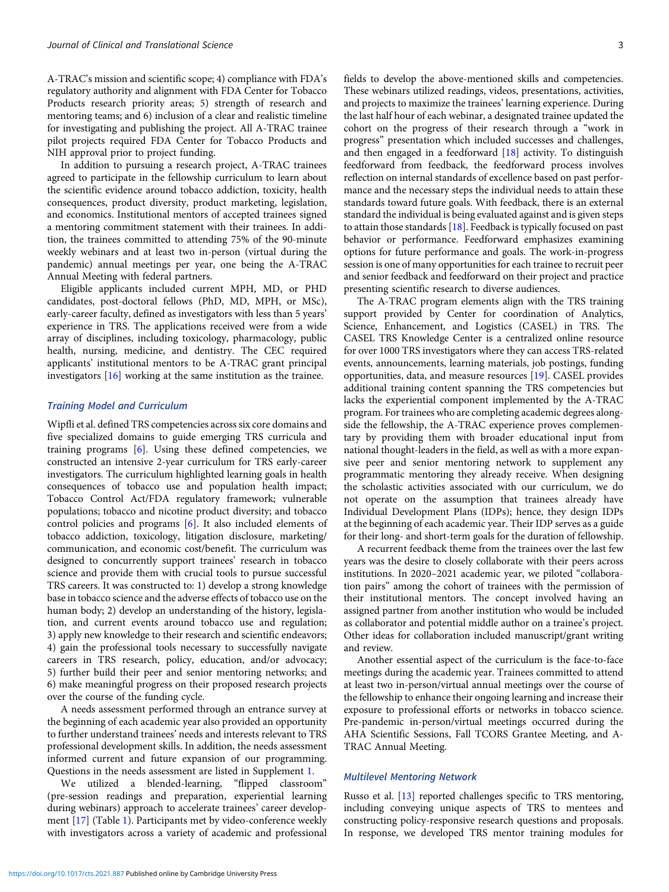A-TRAC's mission and scientific scope; 4) compliance with FDA's regulatory authority and alignment with FDA Center for Tobacco Products research priority areas; 5) strength of research and mentoring teams; and 6) inclusion of a clear and realistic timeline for investigating and publishing the project. All A-TRAC trainee pilot projects required FDA Center for Tobacco Products and NIH approval prior to project funding.

In addition to pursuing a research project, A-TRAC trainees agreed to participate in the fellowship curriculum to learn about the scientific evidence around tobacco addiction, toxicity, health consequences, product diversity, product marketing, legislation, and economics. Institutional mentors of accepted trainees signed a mentoring commitment statement with their trainees. In addition, the trainees committed to attending 75% of the 90-minute weekly webinars and at least two in-person (virtual during the pandemic) annual meetings per year, one being the A-TRAC Annual Meeting with federal partners.

Eligible applicants included current MPH, MD, or PHD candidates, post-doctoral fellows (PhD, MD, MPH, or MSc), early-career faculty, defined as investigators with less than 5 years' experience in TRS. The applications received were from a wide array of disciplines, including toxicology, pharmacology, public health, nursing, medicine, and dentistry. The CEC required applicants' institutional mentors to be A-TRAC grant principal investigators [[16](#page-9-0)] working at the same institution as the trainee.

## Training Model and Curriculum

Wipfli et al. defined TRS competencies across six core domains and five specialized domains to guide emerging TRS curricula and training programs [[6](#page-9-0)]. Using these defined competencies, we constructed an intensive 2-year curriculum for TRS early-career investigators. The curriculum highlighted learning goals in health consequences of tobacco use and population health impact; Tobacco Control Act/FDA regulatory framework; vulnerable populations; tobacco and nicotine product diversity; and tobacco control policies and programs [\[6\]](#page-9-0). It also included elements of tobacco addiction, toxicology, litigation disclosure, marketing/ communication, and economic cost/benefit. The curriculum was designed to concurrently support trainees' research in tobacco science and provide them with crucial tools to pursue successful TRS careers. It was constructed to: 1) develop a strong knowledge base in tobacco science and the adverse effects of tobacco use on the human body; 2) develop an understanding of the history, legislation, and current events around tobacco use and regulation; 3) apply new knowledge to their research and scientific endeavors; 4) gain the professional tools necessary to successfully navigate careers in TRS research, policy, education, and/or advocacy; 5) further build their peer and senior mentoring networks; and 6) make meaningful progress on their proposed research projects over the course of the funding cycle.

A needs assessment performed through an entrance survey at the beginning of each academic year also provided an opportunity to further understand trainees' needs and interests relevant to TRS professional development skills. In addition, the needs assessment informed current and future expansion of our programming. Questions in the needs assessment are listed in Supplement [1.](https://doi.org/10.1017/cts.2021.887)

We utilized a blended-learning, "flipped classroom" (pre-session readings and preparation, experiential learning during webinars) approach to accelerate trainees' career development [\[17\]](#page-9-0) (Table [1\)](#page-3-0). Participants met by video-conference weekly with investigators across a variety of academic and professional fields to develop the above-mentioned skills and competencies. These webinars utilized readings, videos, presentations, activities, and projects to maximize the trainees' learning experience. During the last half hour of each webinar, a designated trainee updated the cohort on the progress of their research through a "work in progress" presentation which included successes and challenges, and then engaged in a feedforward [\[18](#page-9-0)] activity. To distinguish feedforward from feedback, the feedforward process involves reflection on internal standards of excellence based on past performance and the necessary steps the individual needs to attain these standards toward future goals. With feedback, there is an external standard the individual is being evaluated against and is given steps to attain those standards [\[18\]](#page-9-0). Feedback is typically focused on past behavior or performance. Feedforward emphasizes examining options for future performance and goals. The work-in-progress session is one of many opportunities for each trainee to recruit peer and senior feedback and feedforward on their project and practice presenting scientific research to diverse audiences.

The A-TRAC program elements align with the TRS training support provided by Center for coordination of Analytics, Science, Enhancement, and Logistics (CASEL) in TRS. The CASEL TRS Knowledge Center is a centralized online resource for over 1000 TRS investigators where they can access TRS-related events, announcements, learning materials, job postings, funding opportunities, data, and measure resources [\[19](#page-9-0)]. CASEL provides additional training content spanning the TRS competencies but lacks the experiential component implemented by the A-TRAC program. For trainees who are completing academic degrees alongside the fellowship, the A-TRAC experience proves complementary by providing them with broader educational input from national thought-leaders in the field, as well as with a more expansive peer and senior mentoring network to supplement any programmatic mentoring they already receive. When designing the scholastic activities associated with our curriculum, we do not operate on the assumption that trainees already have Individual Development Plans (IDPs); hence, they design IDPs at the beginning of each academic year. Their IDP serves as a guide for their long- and short-term goals for the duration of fellowship.

A recurrent feedback theme from the trainees over the last few years was the desire to closely collaborate with their peers across institutions. In 2020–2021 academic year, we piloted "collaboration pairs" among the cohort of trainees with the permission of their institutional mentors. The concept involved having an assigned partner from another institution who would be included as collaborator and potential middle author on a trainee's project. Other ideas for collaboration included manuscript/grant writing and review.

Another essential aspect of the curriculum is the face-to-face meetings during the academic year. Trainees committed to attend at least two in-person/virtual annual meetings over the course of the fellowship to enhance their ongoing learning and increase their exposure to professional efforts or networks in tobacco science. Pre-pandemic in-person/virtual meetings occurred during the AHA Scientific Sessions, Fall TCORS Grantee Meeting, and A-TRAC Annual Meeting.

## Multilevel Mentoring Network

Russo et al. [\[13](#page-9-0)] reported challenges specific to TRS mentoring, including conveying unique aspects of TRS to mentees and constructing policy-responsive research questions and proposals. In response, we developed TRS mentor training modules for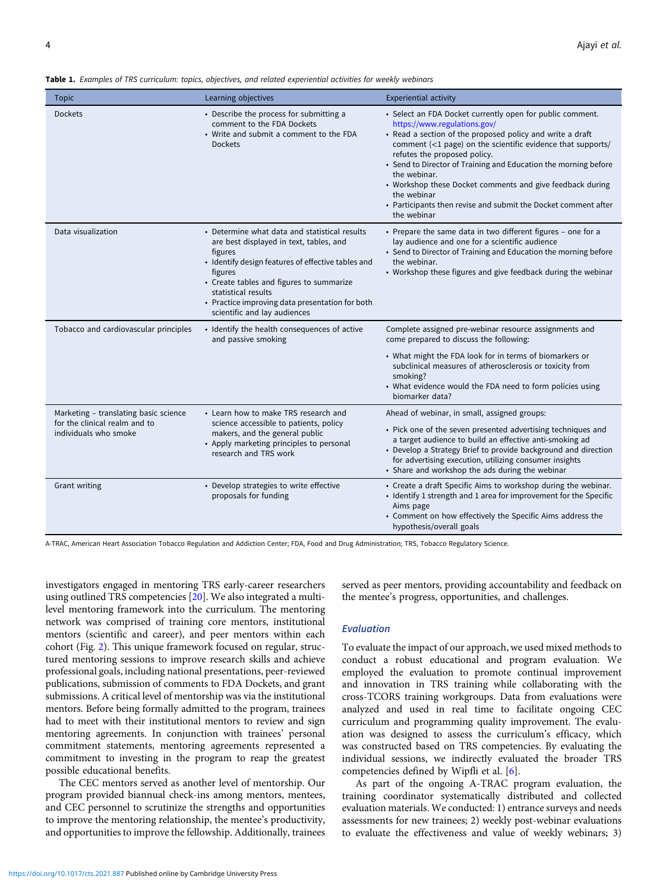<span id="page-3-0"></span>Table 1. Examples of TRS curriculum: topics, objectives, and related experiential activities for weekly webinars

| <b>Topic</b>                                                                                    | Learning objectives                                                                                                                                                                                                                                                                                                        | <b>Experiential activity</b>                                                                                                                                                                                                                                                                                                                                                                                                                                                                          |
|-------------------------------------------------------------------------------------------------|----------------------------------------------------------------------------------------------------------------------------------------------------------------------------------------------------------------------------------------------------------------------------------------------------------------------------|-------------------------------------------------------------------------------------------------------------------------------------------------------------------------------------------------------------------------------------------------------------------------------------------------------------------------------------------------------------------------------------------------------------------------------------------------------------------------------------------------------|
| <b>Dockets</b>                                                                                  | • Describe the process for submitting a<br>comment to the FDA Dockets<br>• Write and submit a comment to the FDA<br><b>Dockets</b>                                                                                                                                                                                         | • Select an FDA Docket currently open for public comment.<br>https://www.regulations.gov/<br>• Read a section of the proposed policy and write a draft<br>comment (<1 page) on the scientific evidence that supports/<br>refutes the proposed policy.<br>• Send to Director of Training and Education the morning before<br>the webinar.<br>• Workshop these Docket comments and give feedback during<br>the webinar<br>• Participants then revise and submit the Docket comment after<br>the webinar |
| Data visualization                                                                              | • Determine what data and statistical results<br>are best displayed in text, tables, and<br>figures<br>• Identify design features of effective tables and<br>figures<br>• Create tables and figures to summarize<br>statistical results<br>• Practice improving data presentation for both<br>scientific and lay audiences | • Prepare the same data in two different figures - one for a<br>lay audience and one for a scientific audience<br>• Send to Director of Training and Education the morning before<br>the webinar.<br>• Workshop these figures and give feedback during the webinar                                                                                                                                                                                                                                    |
| Tobacco and cardiovascular principles                                                           | • Identify the health consequences of active<br>and passive smoking                                                                                                                                                                                                                                                        | Complete assigned pre-webinar resource assignments and<br>come prepared to discuss the following:<br>• What might the FDA look for in terms of biomarkers or<br>subclinical measures of atherosclerosis or toxicity from<br>smoking?<br>• What evidence would the FDA need to form policies using<br>biomarker data?                                                                                                                                                                                  |
| Marketing - translating basic science<br>for the clinical realm and to<br>individuals who smoke | • Learn how to make TRS research and<br>science accessible to patients, policy<br>makers, and the general public<br>• Apply marketing principles to personal<br>research and TRS work                                                                                                                                      | Ahead of webinar, in small, assigned groups:<br>• Pick one of the seven presented advertising techniques and<br>a target audience to build an effective anti-smoking ad<br>• Develop a Strategy Brief to provide background and direction<br>for advertising execution, utilizing consumer insights<br>• Share and workshop the ads during the webinar                                                                                                                                                |
| Grant writing                                                                                   | • Develop strategies to write effective<br>proposals for funding                                                                                                                                                                                                                                                           | • Create a draft Specific Aims to workshop during the webinar.<br>• Identify 1 strength and 1 area for improvement for the Specific<br>Aims page<br>• Comment on how effectively the Specific Aims address the<br>hypothesis/overall goals                                                                                                                                                                                                                                                            |

A-TRAC, American Heart Association Tobacco Regulation and Addiction Center; FDA, Food and Drug Administration; TRS, Tobacco Regulatory Science.

investigators engaged in mentoring TRS early-career researchers using outlined TRS competencies [\[20](#page-9-0)]. We also integrated a multilevel mentoring framework into the curriculum. The mentoring network was comprised of training core mentors, institutional mentors (scientific and career), and peer mentors within each cohort (Fig. [2](#page-4-0)). This unique framework focused on regular, structured mentoring sessions to improve research skills and achieve professional goals, including national presentations, peer-reviewed publications, submission of comments to FDA Dockets, and grant submissions. A critical level of mentorship was via the institutional mentors. Before being formally admitted to the program, trainees had to meet with their institutional mentors to review and sign mentoring agreements. In conjunction with trainees' personal commitment statements, mentoring agreements represented a commitment to investing in the program to reap the greatest possible educational benefits.

The CEC mentors served as another level of mentorship. Our program provided biannual check-ins among mentors, mentees, and CEC personnel to scrutinize the strengths and opportunities to improve the mentoring relationship, the mentee's productivity, and opportunities to improve the fellowship. Additionally, trainees served as peer mentors, providing accountability and feedback on the mentee's progress, opportunities, and challenges.

## Evaluation

To evaluate the impact of our approach, we used mixed methods to conduct a robust educational and program evaluation. We employed the evaluation to promote continual improvement and innovation in TRS training while collaborating with the cross-TCORS training workgroups. Data from evaluations were analyzed and used in real time to facilitate ongoing CEC curriculum and programming quality improvement. The evaluation was designed to assess the curriculum's efficacy, which was constructed based on TRS competencies. By evaluating the individual sessions, we indirectly evaluated the broader TRS competencies defined by Wipfli et al. [\[6\]](#page-9-0).

As part of the ongoing A-TRAC program evaluation, the training coordinator systematically distributed and collected evaluation materials. We conducted: 1) entrance surveys and needs assessments for new trainees; 2) weekly post-webinar evaluations to evaluate the effectiveness and value of weekly webinars; 3)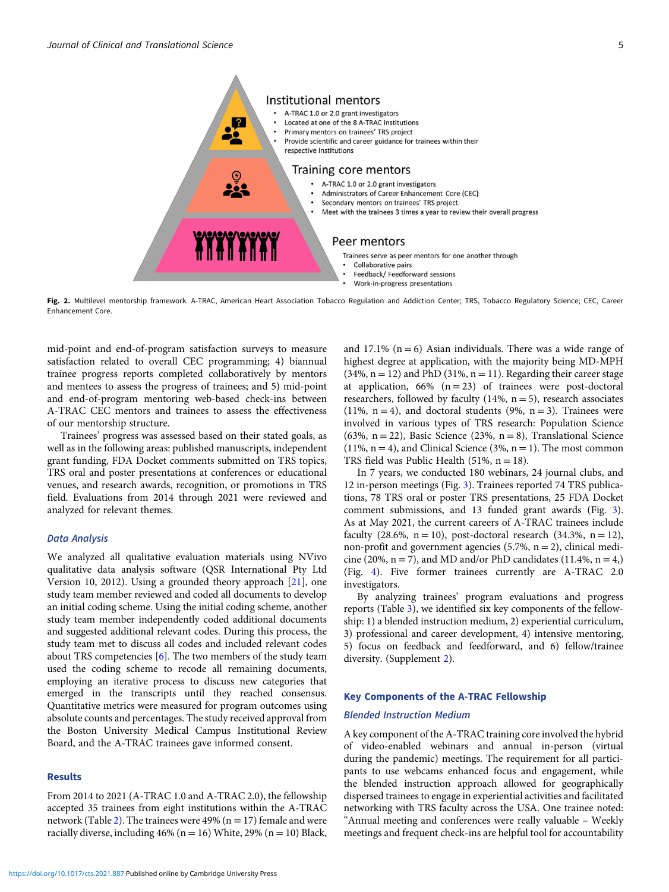<span id="page-4-0"></span>

Fig. 2. Multilevel mentorship framework. A-TRAC, American Heart Association Tobacco Regulation and Addiction Center; TRS, Tobacco Regulatory Science; CEC, Career Enhancement Core.

mid-point and end-of-program satisfaction surveys to measure satisfaction related to overall CEC programming; 4) biannual trainee progress reports completed collaboratively by mentors and mentees to assess the progress of trainees; and 5) mid-point and end-of-program mentoring web-based check-ins between A-TRAC CEC mentors and trainees to assess the effectiveness of our mentorship structure.

Trainees' progress was assessed based on their stated goals, as well as in the following areas: published manuscripts, independent grant funding, FDA Docket comments submitted on TRS topics, TRS oral and poster presentations at conferences or educational venues, and research awards, recognition, or promotions in TRS field. Evaluations from 2014 through 2021 were reviewed and analyzed for relevant themes.

## Data Analysis

We analyzed all qualitative evaluation materials using NVivo qualitative data analysis software (QSR International Pty Ltd Version 10, 2012). Using a grounded theory approach [\[21](#page-9-0)], one study team member reviewed and coded all documents to develop an initial coding scheme. Using the initial coding scheme, another study team member independently coded additional documents and suggested additional relevant codes. During this process, the study team met to discuss all codes and included relevant codes about TRS competencies [\[6\]](#page-9-0). The two members of the study team used the coding scheme to recode all remaining documents, employing an iterative process to discuss new categories that emerged in the transcripts until they reached consensus. Quantitative metrics were measured for program outcomes using absolute counts and percentages. The study received approval from the Boston University Medical Campus Institutional Review Board, and the A-TRAC trainees gave informed consent.

## Results

From 2014 to 2021 (A-TRAC 1.0 and A-TRAC 2.0), the fellowship accepted 35 trainees from eight institutions within the A-TRAC network (Table [2\)](#page-5-0). The trainees were 49% ( $n = 17$ ) female and were racially diverse, including  $46\%$  (n = 16) White, 29% (n = 10) Black,

<https://doi.org/10.1017/cts.2021.887>Published online by Cambridge University Press

and 17.1% ( $n = 6$ ) Asian individuals. There was a wide range of highest degree at application, with the majority being MD-MPH  $(34\%, n = 12)$  and PhD  $(31\%, n = 11)$ . Regarding their career stage at application,  $66\%$  (n = 23) of trainees were post-doctoral researchers, followed by faculty  $(14\%, n=5)$ , research associates (11%, n = 4), and doctoral students (9%, n = 3). Trainees were involved in various types of TRS research: Population Science (63%,  $n = 22$ ), Basic Science (23%,  $n = 8$ ), Translational Science  $(11\%, n = 4)$ , and Clinical Science  $(3\%, n = 1)$ . The most common TRS field was Public Health  $(51\%, n = 18)$ .

In 7 years, we conducted 180 webinars, 24 journal clubs, and 12 in-person meetings (Fig. [3\)](#page-6-0). Trainees reported 74 TRS publications, 78 TRS oral or poster TRS presentations, 25 FDA Docket comment submissions, and 13 funded grant awards (Fig. [3\)](#page-6-0). As at May 2021, the current careers of A-TRAC trainees include faculty (28.6%,  $n = 10$ ), post-doctoral research (34.3%,  $n = 12$ ), non-profit and government agencies  $(5.7\%, n = 2)$ , clinical medicine (20%,  $n = 7$ ), and MD and/or PhD candidates (11.4%,  $n = 4$ ) (Fig. [4](#page-6-0)). Five former trainees currently are A-TRAC 2.0 investigators.

By analyzing trainees' program evaluations and progress reports (Table [3](#page-7-0)), we identified six key components of the fellowship: 1) a blended instruction medium, 2) experiential curriculum, 3) professional and career development, 4) intensive mentoring, 5) focus on feedback and feedforward, and 6) fellow/trainee diversity. (Supplement [2](https://doi.org/10.1017/cts.2021.887)).

#### Key Components of the A-TRAC Fellowship

#### Blended Instruction Medium

A key component of the A-TRAC training core involved the hybrid of video-enabled webinars and annual in-person (virtual during the pandemic) meetings. The requirement for all participants to use webcams enhanced focus and engagement, while the blended instruction approach allowed for geographically dispersed trainees to engage in experiential activities and facilitated networking with TRS faculty across the USA. One trainee noted: "Annual meeting and conferences were really valuable – Weekly meetings and frequent check-ins are helpful tool for accountability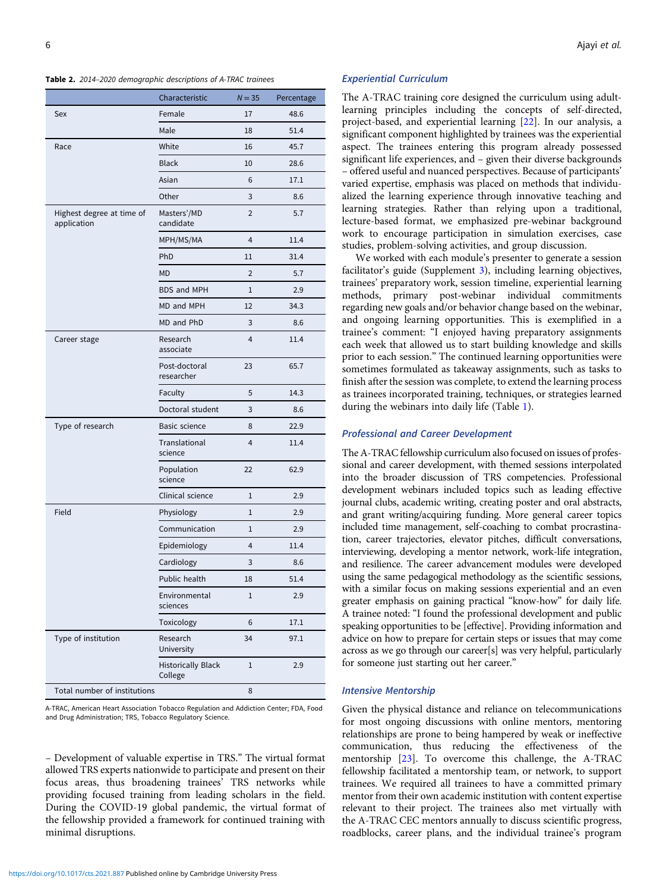<span id="page-5-0"></span>

|                                          | Characteristic                       | $N = 35$       | Percentage |
|------------------------------------------|--------------------------------------|----------------|------------|
| Sex                                      | Female                               | 17             | 48.6       |
|                                          | Male                                 | 18             | 51.4       |
| Race                                     | White                                | 16             | 45.7       |
|                                          | <b>Black</b>                         | 10             | 28.6       |
|                                          | Asian                                | 6              | 17.1       |
|                                          | Other                                | 3              | 8.6        |
| Highest degree at time of<br>application | Masters'/MD<br>candidate             | $\overline{2}$ | 5.7        |
|                                          | MPH/MS/MA                            | $\overline{4}$ | 11.4       |
|                                          | PhD                                  | 11             | 31.4       |
|                                          | MD                                   | 2              | 5.7        |
|                                          | <b>BDS and MPH</b>                   | 1              | 2.9        |
|                                          | MD and MPH                           | 12             | 34.3       |
|                                          | MD and PhD                           | 3              | 8.6        |
| Career stage                             | Research<br>associate                | $\overline{4}$ | 11.4       |
|                                          | Post-doctoral<br>researcher          | 23             | 65.7       |
|                                          | Faculty                              | 5              | 14.3       |
|                                          | Doctoral student                     | 3              | 8.6        |
| Type of research                         | Basic science                        | 8              | 22.9       |
|                                          | Translational<br>science             | 4              | 11.4       |
|                                          | Population<br>science                | 22             | 62.9       |
|                                          | Clinical science                     | 1              | 2.9        |
| Field                                    | Physiology                           | 1              | 2.9        |
|                                          | Communication                        | 1              | 2.9        |
|                                          | Epidemiology                         | 4              | 11.4       |
|                                          | Cardiology                           | 3              | 8.6        |
|                                          | Public health                        | 18             | 51.4       |
|                                          | Environmental<br>sciences            | 1              | 2.9        |
|                                          | Toxicology                           | 6              | 17.1       |
| Type of institution                      | Research<br>University               | 34             | 97.1       |
|                                          | <b>Historically Black</b><br>College | 1              | 2.9        |
| Total number of institutions             |                                      | 8              |            |

A-TRAC, American Heart Association Tobacco Regulation and Addiction Center; FDA, Food and Drug Administration; TRS, Tobacco Regulatory Science.

– Development of valuable expertise in TRS." The virtual format allowed TRS experts nationwide to participate and present on their focus areas, thus broadening trainees' TRS networks while providing focused training from leading scholars in the field. During the COVID-19 global pandemic, the virtual format of the fellowship provided a framework for continued training with minimal disruptions.

<https://doi.org/10.1017/cts.2021.887>Published online by Cambridge University Press

## Experiential Curriculum

The A-TRAC training core designed the curriculum using adultlearning principles including the concepts of self-directed, project-based, and experiential learning [\[22](#page-9-0)]. In our analysis, a significant component highlighted by trainees was the experiential aspect. The trainees entering this program already possessed significant life experiences, and – given their diverse backgrounds – offered useful and nuanced perspectives. Because of participants' varied expertise, emphasis was placed on methods that individualized the learning experience through innovative teaching and learning strategies. Rather than relying upon a traditional, lecture-based format, we emphasized pre-webinar background work to encourage participation in simulation exercises, case studies, problem-solving activities, and group discussion.

We worked with each module's presenter to generate a session facilitator's guide (Supplement [3](https://doi.org/10.1017/cts.2021.887)), including learning objectives, trainees' preparatory work, session timeline, experiential learning methods, primary post-webinar individual commitments regarding new goals and/or behavior change based on the webinar, and ongoing learning opportunities. This is exemplified in a trainee's comment: "I enjoyed having preparatory assignments each week that allowed us to start building knowledge and skills prior to each session." The continued learning opportunities were sometimes formulated as takeaway assignments, such as tasks to finish after the session was complete, to extend the learning process as trainees incorporated training, techniques, or strategies learned during the webinars into daily life (Table [1\)](#page-3-0).

## Professional and Career Development

The A-TRAC fellowship curriculum also focused on issues of professional and career development, with themed sessions interpolated into the broader discussion of TRS competencies. Professional development webinars included topics such as leading effective journal clubs, academic writing, creating poster and oral abstracts, and grant writing/acquiring funding. More general career topics included time management, self-coaching to combat procrastination, career trajectories, elevator pitches, difficult conversations, interviewing, developing a mentor network, work-life integration, and resilience. The career advancement modules were developed using the same pedagogical methodology as the scientific sessions, with a similar focus on making sessions experiential and an even greater emphasis on gaining practical "know-how" for daily life. A trainee noted: "I found the professional development and public speaking opportunities to be [effective]. Providing information and advice on how to prepare for certain steps or issues that may come across as we go through our career[s] was very helpful, particularly for someone just starting out her career."

#### Intensive Mentorship

Given the physical distance and reliance on telecommunications for most ongoing discussions with online mentors, mentoring relationships are prone to being hampered by weak or ineffective communication, thus reducing the effectiveness of the mentorship [[23\]](#page-9-0). To overcome this challenge, the A-TRAC fellowship facilitated a mentorship team, or network, to support trainees. We required all trainees to have a committed primary mentor from their own academic institution with content expertise relevant to their project. The trainees also met virtually with the A-TRAC CEC mentors annually to discuss scientific progress, roadblocks, career plans, and the individual trainee's program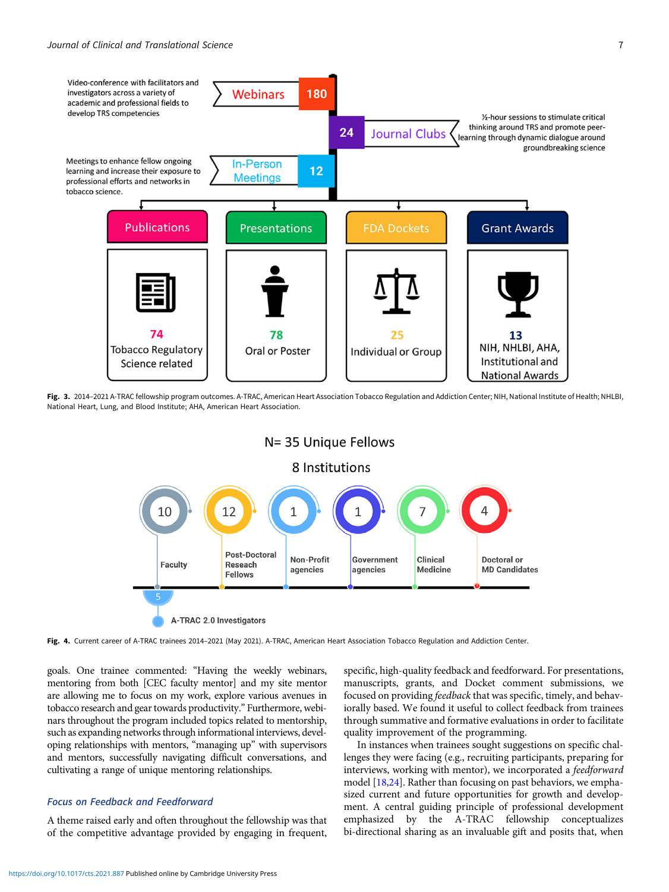<span id="page-6-0"></span>

Fig. 3. 2014-2021 A-TRAC fellowship program outcomes. A-TRAC, American Heart Association Tobacco Regulation and Addiction Center; NIH, National Institute of Health; NHLBI, National Heart, Lung, and Blood Institute; AHA, American Heart Association.

N= 35 Unique Fellows



Fig. 4. Current career of A-TRAC trainees 2014-2021 (May 2021). A-TRAC, American Heart Association Tobacco Regulation and Addiction Center.

goals. One trainee commented: "Having the weekly webinars, mentoring from both [CEC faculty mentor] and my site mentor are allowing me to focus on my work, explore various avenues in tobacco research and gear towards productivity." Furthermore, webinars throughout the program included topics related to mentorship, such as expanding networks through informational interviews, developing relationships with mentors, "managing up" with supervisors and mentors, successfully navigating difficult conversations, and cultivating a range of unique mentoring relationships.

## Focus on Feedback and Feedforward

A theme raised early and often throughout the fellowship was that of the competitive advantage provided by engaging in frequent, specific, high-quality feedback and feedforward. For presentations, manuscripts, grants, and Docket comment submissions, we focused on providing feedback that was specific, timely, and behaviorally based. We found it useful to collect feedback from trainees through summative and formative evaluations in order to facilitate quality improvement of the programming.

In instances when trainees sought suggestions on specific challenges they were facing (e.g., recruiting participants, preparing for interviews, working with mentor), we incorporated a feedforward model [\[18,24](#page-9-0)]. Rather than focusing on past behaviors, we emphasized current and future opportunities for growth and development. A central guiding principle of professional development emphasized by the A-TRAC fellowship conceptualizes bi-directional sharing as an invaluable gift and posits that, when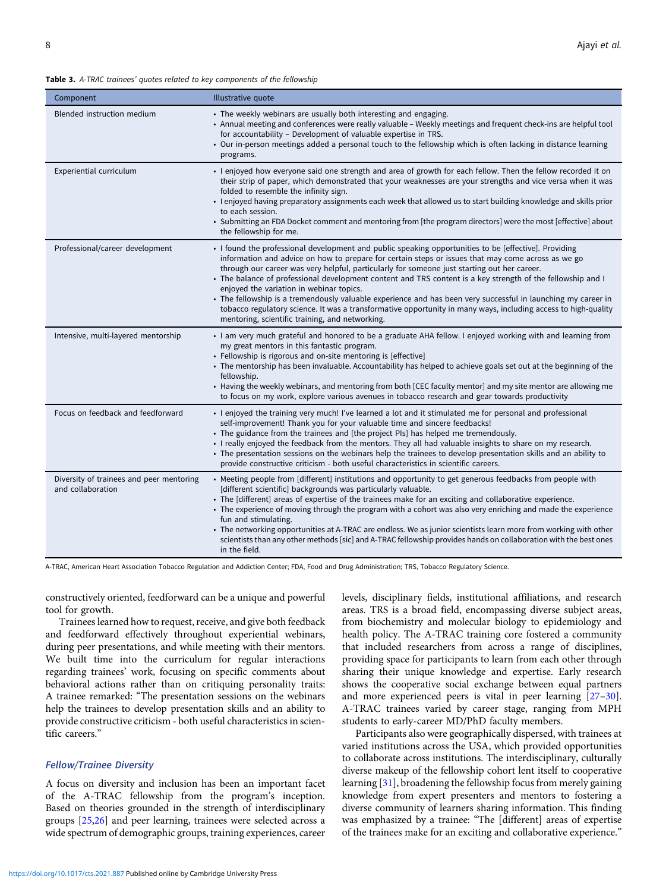#### <span id="page-7-0"></span>Table 3. A-TRAC trainees' quotes related to key components of the fellowship

| Component                                                     | Illustrative quote                                                                                                                                                                                                                                                                                                                                                                                                                                                                                                                                                                                                                                                                                                                                          |
|---------------------------------------------------------------|-------------------------------------------------------------------------------------------------------------------------------------------------------------------------------------------------------------------------------------------------------------------------------------------------------------------------------------------------------------------------------------------------------------------------------------------------------------------------------------------------------------------------------------------------------------------------------------------------------------------------------------------------------------------------------------------------------------------------------------------------------------|
| Blended instruction medium                                    | • The weekly webinars are usually both interesting and engaging.<br>• Annual meeting and conferences were really valuable - Weekly meetings and frequent check-ins are helpful tool<br>for accountability - Development of valuable expertise in TRS.<br>• Our in-person meetings added a personal touch to the fellowship which is often lacking in distance learning<br>programs.                                                                                                                                                                                                                                                                                                                                                                         |
| Experiential curriculum                                       | · I enjoyed how everyone said one strength and area of growth for each fellow. Then the fellow recorded it on<br>their strip of paper, which demonstrated that your weaknesses are your strengths and vice versa when it was<br>folded to resemble the infinity sign.<br>. I enjoyed having preparatory assignments each week that allowed us to start building knowledge and skills prior<br>to each session.<br>• Submitting an FDA Docket comment and mentoring from [the program directors] were the most [effective] about<br>the fellowship for me.                                                                                                                                                                                                   |
| Professional/career development                               | • I found the professional development and public speaking opportunities to be [effective]. Providing<br>information and advice on how to prepare for certain steps or issues that may come across as we go<br>through our career was very helpful, particularly for someone just starting out her career.<br>• The balance of professional development content and TRS content is a key strength of the fellowship and I<br>enjoyed the variation in webinar topics.<br>• The fellowship is a tremendously valuable experience and has been very successful in launching my career in<br>tobacco regulatory science. It was a transformative opportunity in many ways, including access to high-quality<br>mentoring, scientific training, and networking. |
| Intensive, multi-layered mentorship                           | I am very much grateful and honored to be a graduate AHA fellow. I enjoyed working with and learning from<br>my great mentors in this fantastic program.<br>• Fellowship is rigorous and on-site mentoring is [effective]<br>• The mentorship has been invaluable. Accountability has helped to achieve goals set out at the beginning of the<br>fellowship.<br>• Having the weekly webinars, and mentoring from both [CEC faculty mentor] and my site mentor are allowing me<br>to focus on my work, explore various avenues in tobacco research and gear towards productivity                                                                                                                                                                             |
| Focus on feedback and feedforward                             | . I enjoyed the training very much! I've learned a lot and it stimulated me for personal and professional<br>self-improvement! Thank you for your valuable time and sincere feedbacks!<br>• The guidance from the trainees and [the project PIs] has helped me tremendously.<br>. I really enjoyed the feedback from the mentors. They all had valuable insights to share on my research.<br>• The presentation sessions on the webinars help the trainees to develop presentation skills and an ability to<br>provide constructive criticism - both useful characteristics in scientific careers.                                                                                                                                                          |
| Diversity of trainees and peer mentoring<br>and collaboration | • Meeting people from [different] institutions and opportunity to get generous feedbacks from people with<br>[different scientific] backgrounds was particularly valuable.<br>• The [different] areas of expertise of the trainees make for an exciting and collaborative experience.<br>• The experience of moving through the program with a cohort was also very enriching and made the experience<br>fun and stimulating.<br>• The networking opportunities at A-TRAC are endless. We as junior scientists learn more from working with other<br>scientists than any other methods [sic] and A-TRAC fellowship provides hands on collaboration with the best ones<br>in the field.                                                                      |

A-TRAC, American Heart Association Tobacco Regulation and Addiction Center; FDA, Food and Drug Administration; TRS, Tobacco Regulatory Science.

constructively oriented, feedforward can be a unique and powerful tool for growth.

Trainees learned how to request, receive, and give both feedback and feedforward effectively throughout experiential webinars, during peer presentations, and while meeting with their mentors. We built time into the curriculum for regular interactions regarding trainees' work, focusing on specific comments about behavioral actions rather than on critiquing personality traits: A trainee remarked: "The presentation sessions on the webinars help the trainees to develop presentation skills and an ability to provide constructive criticism - both useful characteristics in scientific careers."

## Fellow/Trainee Diversity

A focus on diversity and inclusion has been an important facet of the A-TRAC fellowship from the program's inception. Based on theories grounded in the strength of interdisciplinary groups [[25,26](#page-9-0)] and peer learning, trainees were selected across a wide spectrum of demographic groups, training experiences, career levels, disciplinary fields, institutional affiliations, and research areas. TRS is a broad field, encompassing diverse subject areas, from biochemistry and molecular biology to epidemiology and health policy. The A-TRAC training core fostered a community that included researchers from across a range of disciplines, providing space for participants to learn from each other through sharing their unique knowledge and expertise. Early research shows the cooperative social exchange between equal partners and more experienced peers is vital in peer learning [\[27](#page-9-0)–[30](#page-9-0)]. A-TRAC trainees varied by career stage, ranging from MPH students to early-career MD/PhD faculty members.

Participants also were geographically dispersed, with trainees at varied institutions across the USA, which provided opportunities to collaborate across institutions. The interdisciplinary, culturally diverse makeup of the fellowship cohort lent itself to cooperative learning [[31\]](#page-9-0), broadening the fellowship focus from merely gaining knowledge from expert presenters and mentors to fostering a diverse community of learners sharing information. This finding was emphasized by a trainee: "The [different] areas of expertise of the trainees make for an exciting and collaborative experience."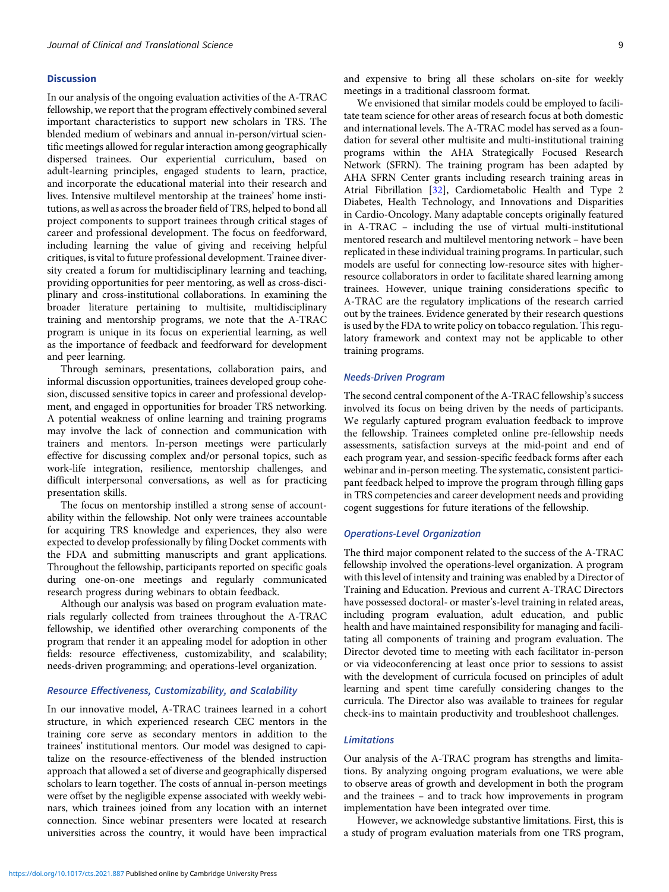#### Discussion

In our analysis of the ongoing evaluation activities of the A-TRAC fellowship, we report that the program effectively combined several important characteristics to support new scholars in TRS. The blended medium of webinars and annual in-person/virtual scientific meetings allowed for regular interaction among geographically dispersed trainees. Our experiential curriculum, based on adult-learning principles, engaged students to learn, practice, and incorporate the educational material into their research and lives. Intensive multilevel mentorship at the trainees' home institutions, as well as across the broader field of TRS, helped to bond all project components to support trainees through critical stages of career and professional development. The focus on feedforward, including learning the value of giving and receiving helpful critiques, is vital to future professional development. Trainee diversity created a forum for multidisciplinary learning and teaching, providing opportunities for peer mentoring, as well as cross-disciplinary and cross-institutional collaborations. In examining the broader literature pertaining to multisite, multidisciplinary training and mentorship programs, we note that the A-TRAC program is unique in its focus on experiential learning, as well as the importance of feedback and feedforward for development and peer learning.

Through seminars, presentations, collaboration pairs, and informal discussion opportunities, trainees developed group cohesion, discussed sensitive topics in career and professional development, and engaged in opportunities for broader TRS networking. A potential weakness of online learning and training programs may involve the lack of connection and communication with trainers and mentors. In-person meetings were particularly effective for discussing complex and/or personal topics, such as work-life integration, resilience, mentorship challenges, and difficult interpersonal conversations, as well as for practicing presentation skills.

The focus on mentorship instilled a strong sense of accountability within the fellowship. Not only were trainees accountable for acquiring TRS knowledge and experiences, they also were expected to develop professionally by filing Docket comments with the FDA and submitting manuscripts and grant applications. Throughout the fellowship, participants reported on specific goals during one-on-one meetings and regularly communicated research progress during webinars to obtain feedback.

Although our analysis was based on program evaluation materials regularly collected from trainees throughout the A-TRAC fellowship, we identified other overarching components of the program that render it an appealing model for adoption in other fields: resource effectiveness, customizability, and scalability; needs-driven programming; and operations-level organization.

## Resource Effectiveness, Customizability, and Scalability

In our innovative model, A-TRAC trainees learned in a cohort structure, in which experienced research CEC mentors in the training core serve as secondary mentors in addition to the trainees' institutional mentors. Our model was designed to capitalize on the resource-effectiveness of the blended instruction approach that allowed a set of diverse and geographically dispersed scholars to learn together. The costs of annual in-person meetings were offset by the negligible expense associated with weekly webinars, which trainees joined from any location with an internet connection. Since webinar presenters were located at research universities across the country, it would have been impractical

and expensive to bring all these scholars on-site for weekly meetings in a traditional classroom format.

We envisioned that similar models could be employed to facilitate team science for other areas of research focus at both domestic and international levels. The A-TRAC model has served as a foundation for several other multisite and multi-institutional training programs within the AHA Strategically Focused Research Network (SFRN). The training program has been adapted by AHA SFRN Center grants including research training areas in Atrial Fibrillation [[32](#page-9-0)], Cardiometabolic Health and Type 2 Diabetes, Health Technology, and Innovations and Disparities in Cardio-Oncology. Many adaptable concepts originally featured in A-TRAC – including the use of virtual multi-institutional mentored research and multilevel mentoring network – have been replicated in these individual training programs. In particular, such models are useful for connecting low-resource sites with higherresource collaborators in order to facilitate shared learning among trainees. However, unique training considerations specific to A-TRAC are the regulatory implications of the research carried out by the trainees. Evidence generated by their research questions is used by the FDA to write policy on tobacco regulation. This regulatory framework and context may not be applicable to other training programs.

#### Needs-Driven Program

The second central component of the A-TRAC fellowship's success involved its focus on being driven by the needs of participants. We regularly captured program evaluation feedback to improve the fellowship. Trainees completed online pre-fellowship needs assessments, satisfaction surveys at the mid-point and end of each program year, and session-specific feedback forms after each webinar and in-person meeting. The systematic, consistent participant feedback helped to improve the program through filling gaps in TRS competencies and career development needs and providing cogent suggestions for future iterations of the fellowship.

#### Operations-Level Organization

The third major component related to the success of the A-TRAC fellowship involved the operations-level organization. A program with this level of intensity and training was enabled by a Director of Training and Education. Previous and current A-TRAC Directors have possessed doctoral- or master's-level training in related areas, including program evaluation, adult education, and public health and have maintained responsibility for managing and facilitating all components of training and program evaluation. The Director devoted time to meeting with each facilitator in-person or via videoconferencing at least once prior to sessions to assist with the development of curricula focused on principles of adult learning and spent time carefully considering changes to the curricula. The Director also was available to trainees for regular check-ins to maintain productivity and troubleshoot challenges.

## Limitations

Our analysis of the A-TRAC program has strengths and limitations. By analyzing ongoing program evaluations, we were able to observe areas of growth and development in both the program and the trainees – and to track how improvements in program implementation have been integrated over time.

However, we acknowledge substantive limitations. First, this is a study of program evaluation materials from one TRS program,